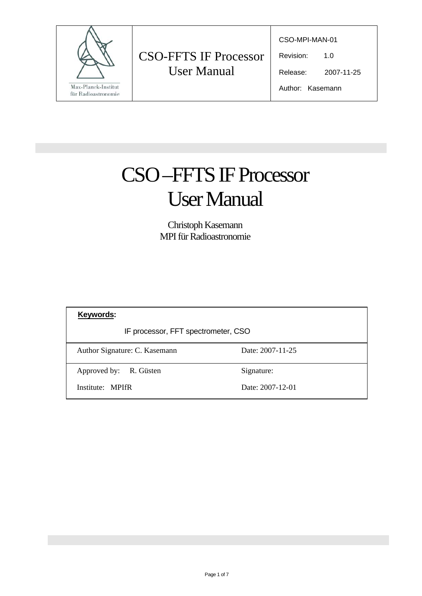

CSO-MPI-MAN-01

Revision: 1.0

Release: 2007-11-25

Author: Kasemann

# CSO –FFTS IF Processor User Manual

Christoph Kasemann MPI für Radioastronomie

| Keywords:                           |                  |
|-------------------------------------|------------------|
| IF processor, FFT spectrometer, CSO |                  |
| Author Signature: C. Kasemann       | Date: 2007-11-25 |
| Approved by: R. Güsten              | Signature:       |
| Institute: MPIfR                    | Date: 2007-12-01 |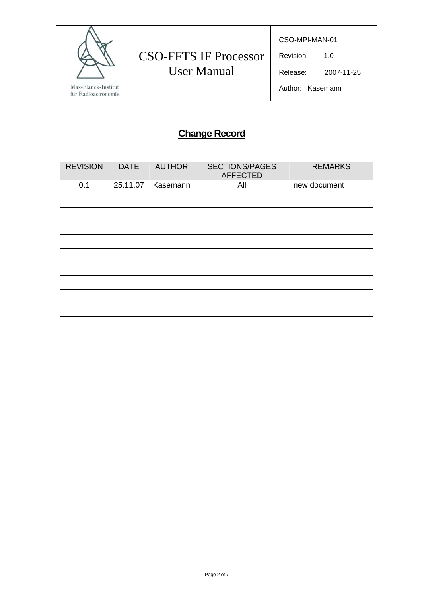

# CSO-FFTS IF Processor User Manual

CSO-MPI-MAN-01

Revision: 1.0

Release: 2007-11-25

### Author: Kasemann

## **Change Record**

| <b>REVISION</b> | <b>DATE</b> | <b>AUTHOR</b> | <b>SECTIONS/PAGES</b><br><b>AFFECTED</b> | <b>REMARKS</b> |
|-----------------|-------------|---------------|------------------------------------------|----------------|
| 0.1             | 25.11.07    | Kasemann      | All                                      | new document   |
|                 |             |               |                                          |                |
|                 |             |               |                                          |                |
|                 |             |               |                                          |                |
|                 |             |               |                                          |                |
|                 |             |               |                                          |                |
|                 |             |               |                                          |                |
|                 |             |               |                                          |                |
|                 |             |               |                                          |                |
|                 |             |               |                                          |                |
|                 |             |               |                                          |                |
|                 |             |               |                                          |                |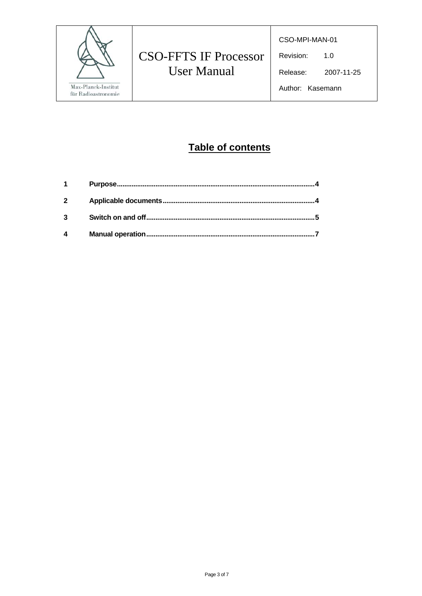

# **CSO-FFTS IF Processor User Manual**

CSO-MPI-MAN-01

Revision:  $1.0$ 

Release: 2007-11-25

Author: Kasemann

## Table of contents

| $\overline{2}$ |  |
|----------------|--|
| 3              |  |
| 4              |  |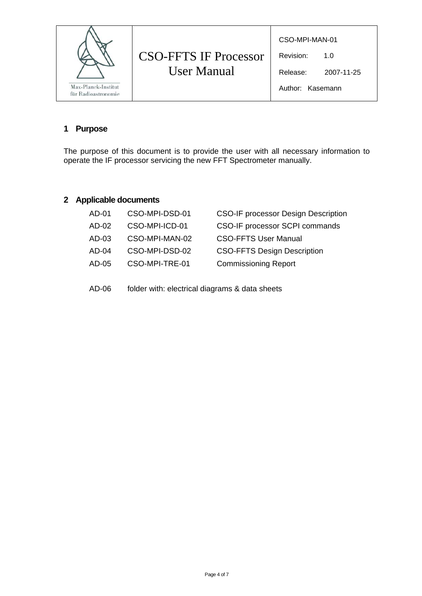| CSO-MPI-MAN-01<br><b>CSO-FFTS IF Processor</b><br>Revision:<br>1.0<br><b>User Manual</b><br>Release:<br>Max-Planck-Institut<br>Author: Kasemann<br>für Radioastronomie | 2007-11-25 |
|------------------------------------------------------------------------------------------------------------------------------------------------------------------------|------------|
|------------------------------------------------------------------------------------------------------------------------------------------------------------------------|------------|

#### **1 Purpose**

The purpose of this document is to provide the user with all necessary information to operate the IF processor servicing the new FFT Spectrometer manually.

### **2 Applicable documents**

| AD-01 | CSO-MPI-DSD-01 | <b>CSO-IF processor Design Description</b> |
|-------|----------------|--------------------------------------------|
| AD-02 | CSO-MPI-ICD-01 | CSO-IF processor SCPI commands             |
| AD-03 | CSO-MPI-MAN-02 | <b>CSO-FFTS User Manual</b>                |
| AD-04 | CSO-MPI-DSD-02 | <b>CSO-FFTS Design Description</b>         |
| AD-05 | CSO-MPI-TRE-01 | <b>Commissioning Report</b>                |
|       |                |                                            |

AD-06 folder with: electrical diagrams & data sheets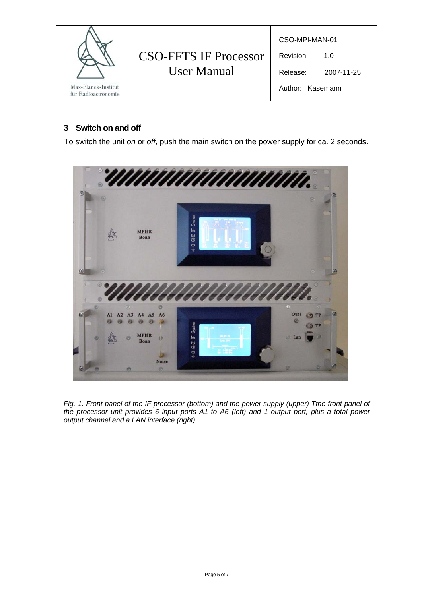| <b>CSO-FFTS IF Processor</b><br><b>User Manual</b><br>Max-Planck-Institut<br>für Radioastronomie | CSO-MPI-MAN-01<br>Revision:<br>Release:<br>Author: Kasemann | 1. $\Omega$<br>2007-11-25 |  |
|--------------------------------------------------------------------------------------------------|-------------------------------------------------------------|---------------------------|--|
|--------------------------------------------------------------------------------------------------|-------------------------------------------------------------|---------------------------|--|

#### **3 Switch on and off**

To switch the unit *on* or *off*, push the main switch on the power supply for ca. 2 seconds.



*Fig. 1. Front-panel of the IF-processor (bottom) and the power supply (upper) Tthe front panel of the processor unit provides 6 input ports A1 to A6 (left) and 1 output port, plus a total power output channel and a LAN interface (right).*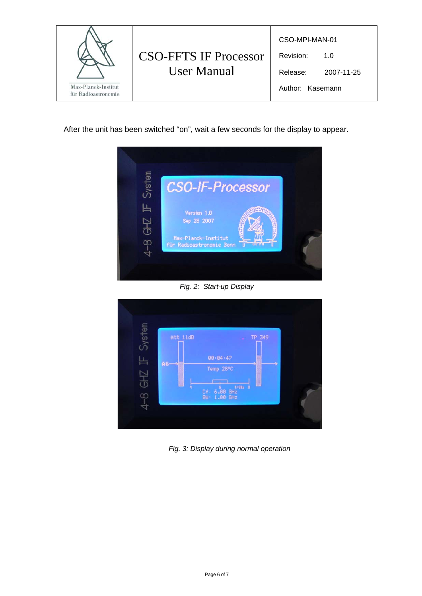

After the unit has been switched "on", wait a few seconds for the display to appear.



*Fig. 2: Start-up Display* 



*Fig. 3: Display during normal operation*